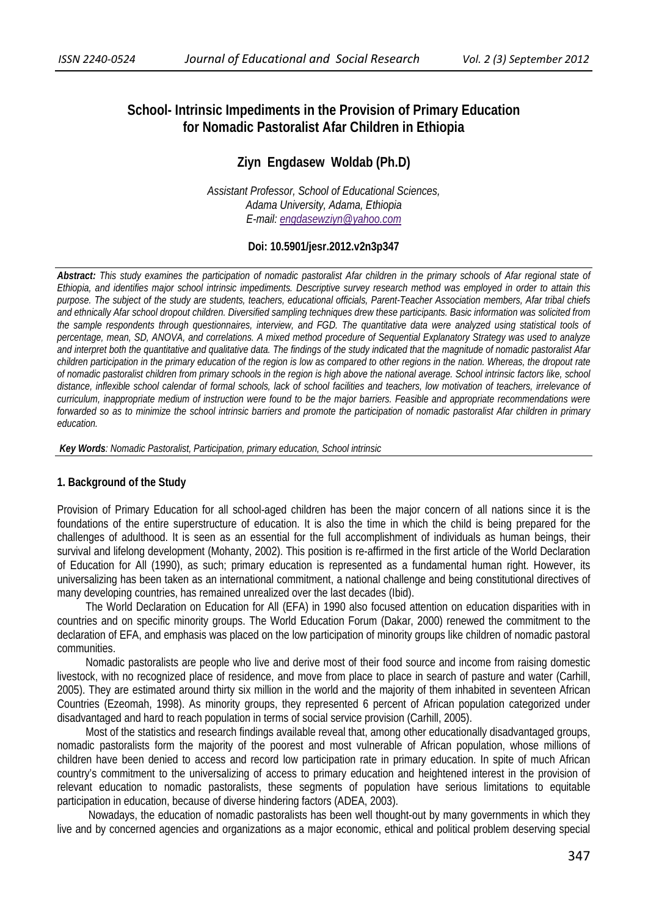# **School- Intrinsic Impediments in the Provision of Primary Education for Nomadic Pastoralist Afar Children in Ethiopia**

# **Ziyn Engdasew Woldab (Ph.D)**

*Assistant Professor, School of Educational Sciences, Adama University, Adama, Ethiopia E-mail: engdasewziyn@yahoo.com*

### **Doi: 10.5901/jesr.2012.v2n3p347**

*Abstract: This study examines the participation of nomadic pastoralist Afar children in the primary schools of Afar regional state of Ethiopia, and identifies major school intrinsic impediments. Descriptive survey research method was employed in order to attain this purpose. The subject of the study are students, teachers, educational officials, Parent-Teacher Association members, Afar tribal chiefs and ethnically Afar school dropout children. Diversified sampling techniques drew these participants. Basic information was solicited from the sample respondents through questionnaires, interview, and FGD. The quantitative data were analyzed using statistical tools of percentage, mean, SD, ANOVA, and correlations. A mixed method procedure of Sequential Explanatory Strategy was used to analyze and interpret both the quantitative and qualitative data. The findings of the study indicated that the magnitude of nomadic pastoralist Afar children participation in the primary education of the region is low as compared to other regions in the nation. Whereas, the dropout rate*  of nomadic pastoralist children from primary schools in the region is high above the national average. School intrinsic factors like, school *distance, inflexible school calendar of formal schools, lack of school facilities and teachers, low motivation of teachers, irrelevance of curriculum, inappropriate medium of instruction were found to be the major barriers. Feasible and appropriate recommendations were forwarded so as to minimize the school intrinsic barriers and promote the participation of nomadic pastoralist Afar children in primary education.* 

 *Key Words: Nomadic Pastoralist, Participation, primary education, School intrinsic* 

### **1. Background of the Study**

Provision of Primary Education for all school-aged children has been the major concern of all nations since it is the foundations of the entire superstructure of education. It is also the time in which the child is being prepared for the challenges of adulthood. It is seen as an essential for the full accomplishment of individuals as human beings, their survival and lifelong development (Mohanty, 2002). This position is re-affirmed in the first article of the World Declaration of Education for All (1990), as such; primary education is represented as a fundamental human right. However, its universalizing has been taken as an international commitment, a national challenge and being constitutional directives of many developing countries, has remained unrealized over the last decades (Ibid).

The World Declaration on Education for All (EFA) in 1990 also focused attention on education disparities with in countries and on specific minority groups. The World Education Forum (Dakar, 2000) renewed the commitment to the declaration of EFA, and emphasis was placed on the low participation of minority groups like children of nomadic pastoral communities.

Nomadic pastoralists are people who live and derive most of their food source and income from raising domestic livestock, with no recognized place of residence, and move from place to place in search of pasture and water (Carhill, 2005). They are estimated around thirty six million in the world and the majority of them inhabited in seventeen African Countries (Ezeomah, 1998). As minority groups, they represented 6 percent of African population categorized under disadvantaged and hard to reach population in terms of social service provision (Carhill, 2005).

Most of the statistics and research findings available reveal that, among other educationally disadvantaged groups, nomadic pastoralists form the majority of the poorest and most vulnerable of African population, whose millions of children have been denied to access and record low participation rate in primary education. In spite of much African country's commitment to the universalizing of access to primary education and heightened interest in the provision of relevant education to nomadic pastoralists, these segments of population have serious limitations to equitable participation in education, because of diverse hindering factors (ADEA, 2003).

Nowadays, the education of nomadic pastoralists has been well thought-out by many governments in which they live and by concerned agencies and organizations as a major economic, ethical and political problem deserving special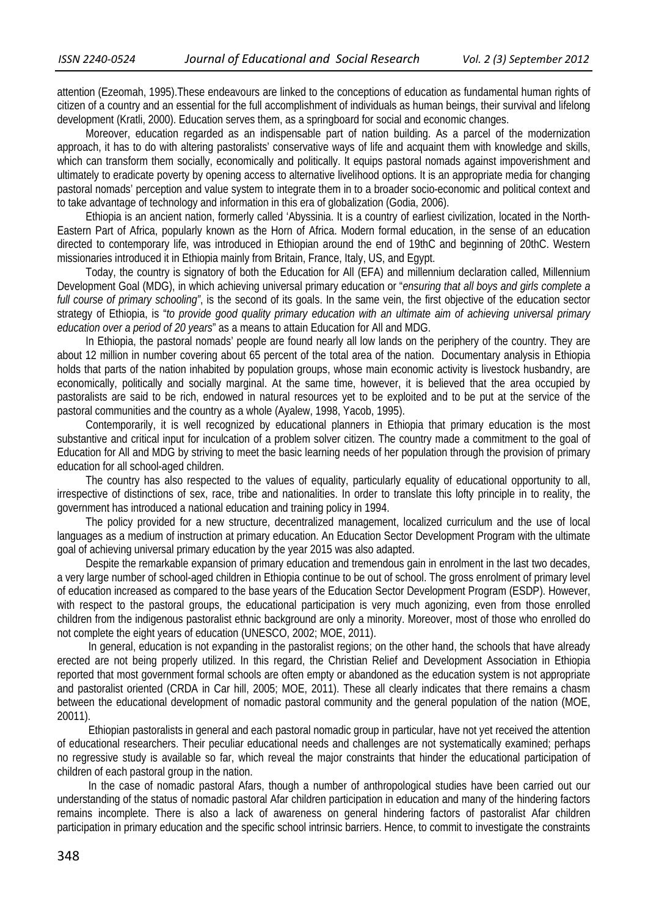attention (Ezeomah, 1995).These endeavours are linked to the conceptions of education as fundamental human rights of citizen of a country and an essential for the full accomplishment of individuals as human beings, their survival and lifelong development (Kratli, 2000). Education serves them, as a springboard for social and economic changes.

Moreover, education regarded as an indispensable part of nation building. As a parcel of the modernization approach, it has to do with altering pastoralists' conservative ways of life and acquaint them with knowledge and skills, which can transform them socially, economically and politically. It equips pastoral nomads against impoverishment and ultimately to eradicate poverty by opening access to alternative livelihood options. It is an appropriate media for changing pastoral nomads' perception and value system to integrate them in to a broader socio-economic and political context and to take advantage of technology and information in this era of globalization (Godia, 2006).

Ethiopia is an ancient nation, formerly called 'Abyssinia. It is a country of earliest civilization, located in the North-Eastern Part of Africa, popularly known as the Horn of Africa. Modern formal education, in the sense of an education directed to contemporary life, was introduced in Ethiopian around the end of 19thC and beginning of 20thC. Western missionaries introduced it in Ethiopia mainly from Britain, France, Italy, US, and Egypt.

Today, the country is signatory of both the Education for All (EFA) and millennium declaration called, Millennium Development Goal (MDG), in which achieving universal primary education or "*ensuring that all boys and girls complete a full course of primary schooling"*, is the second of its goals. In the same vein, the first objective of the education sector strategy of Ethiopia, is "*to provide good quality primary education with an ultimate aim of achieving universal primary education over a period of 20 years*" as a means to attain Education for All and MDG.

In Ethiopia, the pastoral nomads' people are found nearly all low lands on the periphery of the country. They are about 12 million in number covering about 65 percent of the total area of the nation. Documentary analysis in Ethiopia holds that parts of the nation inhabited by population groups, whose main economic activity is livestock husbandry, are economically, politically and socially marginal. At the same time, however, it is believed that the area occupied by pastoralists are said to be rich, endowed in natural resources yet to be exploited and to be put at the service of the pastoral communities and the country as a whole (Ayalew, 1998, Yacob, 1995).

Contemporarily, it is well recognized by educational planners in Ethiopia that primary education is the most substantive and critical input for inculcation of a problem solver citizen. The country made a commitment to the goal of Education for All and MDG by striving to meet the basic learning needs of her population through the provision of primary education for all school-aged children.

The country has also respected to the values of equality, particularly equality of educational opportunity to all, irrespective of distinctions of sex, race, tribe and nationalities. In order to translate this lofty principle in to reality, the government has introduced a national education and training policy in 1994.

The policy provided for a new structure, decentralized management, localized curriculum and the use of local languages as a medium of instruction at primary education. An Education Sector Development Program with the ultimate goal of achieving universal primary education by the year 2015 was also adapted.

Despite the remarkable expansion of primary education and tremendous gain in enrolment in the last two decades, a very large number of school-aged children in Ethiopia continue to be out of school. The gross enrolment of primary level of education increased as compared to the base years of the Education Sector Development Program (ESDP). However, with respect to the pastoral groups, the educational participation is very much agonizing, even from those enrolled children from the indigenous pastoralist ethnic background are only a minority. Moreover, most of those who enrolled do not complete the eight years of education (UNESCO, 2002; MOE, 2011).

 In general, education is not expanding in the pastoralist regions; on the other hand, the schools that have already erected are not being properly utilized. In this regard, the Christian Relief and Development Association in Ethiopia reported that most government formal schools are often empty or abandoned as the education system is not appropriate and pastoralist oriented (CRDA in Car hill, 2005; MOE, 2011). These all clearly indicates that there remains a chasm between the educational development of nomadic pastoral community and the general population of the nation (MOE, 20011).

 Ethiopian pastoralists in general and each pastoral nomadic group in particular, have not yet received the attention of educational researchers. Their peculiar educational needs and challenges are not systematically examined; perhaps no regressive study is available so far, which reveal the major constraints that hinder the educational participation of children of each pastoral group in the nation.

 In the case of nomadic pastoral Afars, though a number of anthropological studies have been carried out our understanding of the status of nomadic pastoral Afar children participation in education and many of the hindering factors remains incomplete. There is also a lack of awareness on general hindering factors of pastoralist Afar children participation in primary education and the specific school intrinsic barriers. Hence, to commit to investigate the constraints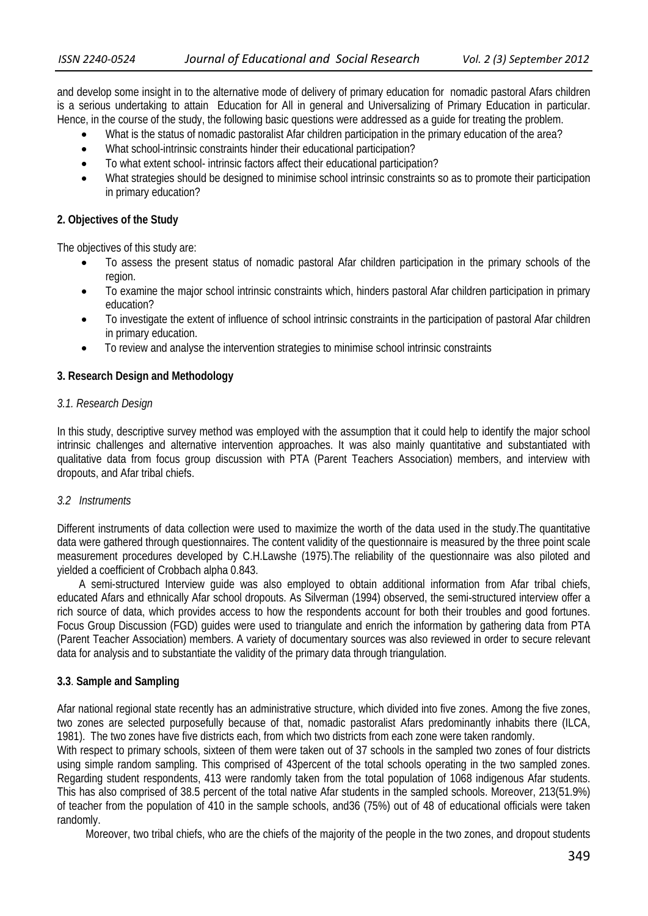and develop some insight in to the alternative mode of delivery of primary education for nomadic pastoral Afars children is a serious undertaking to attain Education for All in general and Universalizing of Primary Education in particular. Hence, in the course of the study, the following basic questions were addressed as a guide for treating the problem.

- What is the status of nomadic pastoralist Afar children participation in the primary education of the area?
- What school-intrinsic constraints hinder their educational participation?
- To what extent school- intrinsic factors affect their educational participation?
- What strategies should be designed to minimise school intrinsic constraints so as to promote their participation in primary education?

### **2. Objectives of the Study**

The objectives of this study are:

- To assess the present status of nomadic pastoral Afar children participation in the primary schools of the region.
- To examine the major school intrinsic constraints which, hinders pastoral Afar children participation in primary education?
- To investigate the extent of influence of school intrinsic constraints in the participation of pastoral Afar children in primary education.
- To review and analyse the intervention strategies to minimise school intrinsic constraints

### **3. Research Design and Methodology**

### *3.1. Research Design*

In this study, descriptive survey method was employed with the assumption that it could help to identify the major school intrinsic challenges and alternative intervention approaches. It was also mainly quantitative and substantiated with qualitative data from focus group discussion with PTA (Parent Teachers Association) members, and interview with dropouts, and Afar tribal chiefs.

### *3.2 Instruments*

Different instruments of data collection were used to maximize the worth of the data used in the study.The quantitative data were gathered through questionnaires. The content validity of the questionnaire is measured by the three point scale measurement procedures developed by C.H.Lawshe (1975).The reliability of the questionnaire was also piloted and yielded a coefficient of Crobbach alpha 0.843.

 A semi-structured Interview guide was also employed to obtain additional information from Afar tribal chiefs, educated Afars and ethnically Afar school dropouts. As Silverman (1994) observed, the semi-structured interview offer a rich source of data, which provides access to how the respondents account for both their troubles and good fortunes. Focus Group Discussion (FGD) guides were used to triangulate and enrich the information by gathering data from PTA (Parent Teacher Association) members. A variety of documentary sources was also reviewed in order to secure relevant data for analysis and to substantiate the validity of the primary data through triangulation.

## **3.3**. **Sample and Sampling**

Afar national regional state recently has an administrative structure, which divided into five zones. Among the five zones, two zones are selected purposefully because of that, nomadic pastoralist Afars predominantly inhabits there (ILCA, 1981). The two zones have five districts each, from which two districts from each zone were taken randomly.

With respect to primary schools, sixteen of them were taken out of 37 schools in the sampled two zones of four districts using simple random sampling. This comprised of 43percent of the total schools operating in the two sampled zones. Regarding student respondents, 413 were randomly taken from the total population of 1068 indigenous Afar students. This has also comprised of 38.5 percent of the total native Afar students in the sampled schools. Moreover, 213(51.9%) of teacher from the population of 410 in the sample schools, and36 (75%) out of 48 of educational officials were taken randomly.

Moreover, two tribal chiefs, who are the chiefs of the majority of the people in the two zones, and dropout students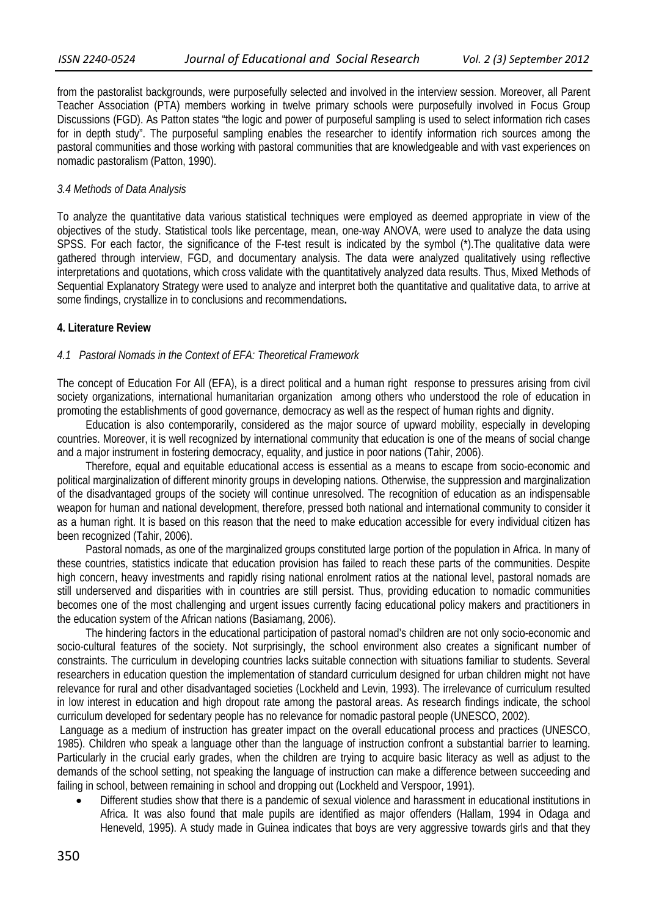from the pastoralist backgrounds, were purposefully selected and involved in the interview session. Moreover, all Parent Teacher Association (PTA) members working in twelve primary schools were purposefully involved in Focus Group Discussions (FGD). As Patton states "the logic and power of purposeful sampling is used to select information rich cases for in depth study". The purposeful sampling enables the researcher to identify information rich sources among the pastoral communities and those working with pastoral communities that are knowledgeable and with vast experiences on nomadic pastoralism (Patton, 1990).

### *3.4 Methods of Data Analysis*

To analyze the quantitative data various statistical techniques were employed as deemed appropriate in view of the objectives of the study. Statistical tools like percentage, mean, one-way ANOVA, were used to analyze the data using SPSS. For each factor, the significance of the F-test result is indicated by the symbol (\*).The qualitative data were gathered through interview, FGD, and documentary analysis. The data were analyzed qualitatively using reflective interpretations and quotations, which cross validate with the quantitatively analyzed data results. Thus, Mixed Methods of Sequential Explanatory Strategy were used to analyze and interpret both the quantitative and qualitative data, to arrive at some findings, crystallize in to conclusions and recommendations**.** 

### **4. Literature Review**

## *4.1 Pastoral Nomads in the Context of EFA: Theoretical Framework*

The concept of Education For All (EFA), is a direct political and a human right response to pressures arising from civil society organizations, international humanitarian organization among others who understood the role of education in promoting the establishments of good governance, democracy as well as the respect of human rights and dignity.

Education is also contemporarily, considered as the major source of upward mobility, especially in developing countries. Moreover, it is well recognized by international community that education is one of the means of social change and a major instrument in fostering democracy, equality, and justice in poor nations (Tahir, 2006).

Therefore, equal and equitable educational access is essential as a means to escape from socio-economic and political marginalization of different minority groups in developing nations. Otherwise, the suppression and marginalization of the disadvantaged groups of the society will continue unresolved. The recognition of education as an indispensable weapon for human and national development, therefore, pressed both national and international community to consider it as a human right. It is based on this reason that the need to make education accessible for every individual citizen has been recognized (Tahir, 2006).

Pastoral nomads, as one of the marginalized groups constituted large portion of the population in Africa. In many of these countries, statistics indicate that education provision has failed to reach these parts of the communities. Despite high concern, heavy investments and rapidly rising national enrolment ratios at the national level, pastoral nomads are still underserved and disparities with in countries are still persist. Thus, providing education to nomadic communities becomes one of the most challenging and urgent issues currently facing educational policy makers and practitioners in the education system of the African nations (Basiamang, 2006).

The hindering factors in the educational participation of pastoral nomad's children are not only socio-economic and socio-cultural features of the society. Not surprisingly, the school environment also creates a significant number of constraints. The curriculum in developing countries lacks suitable connection with situations familiar to students. Several researchers in education question the implementation of standard curriculum designed for urban children might not have relevance for rural and other disadvantaged societies (Lockheld and Levin, 1993). The irrelevance of curriculum resulted in low interest in education and high dropout rate among the pastoral areas. As research findings indicate, the school curriculum developed for sedentary people has no relevance for nomadic pastoral people (UNESCO, 2002).

Language as a medium of instruction has greater impact on the overall educational process and practices (UNESCO, 1985). Children who speak a language other than the language of instruction confront a substantial barrier to learning. Particularly in the crucial early grades, when the children are trying to acquire basic literacy as well as adjust to the demands of the school setting, not speaking the language of instruction can make a difference between succeeding and failing in school, between remaining in school and dropping out (Lockheld and Verspoor, 1991).

 Different studies show that there is a pandemic of sexual violence and harassment in educational institutions in Africa. It was also found that male pupils are identified as major offenders (Hallam, 1994 in Odaga and Heneveld, 1995). A study made in Guinea indicates that boys are very aggressive towards girls and that they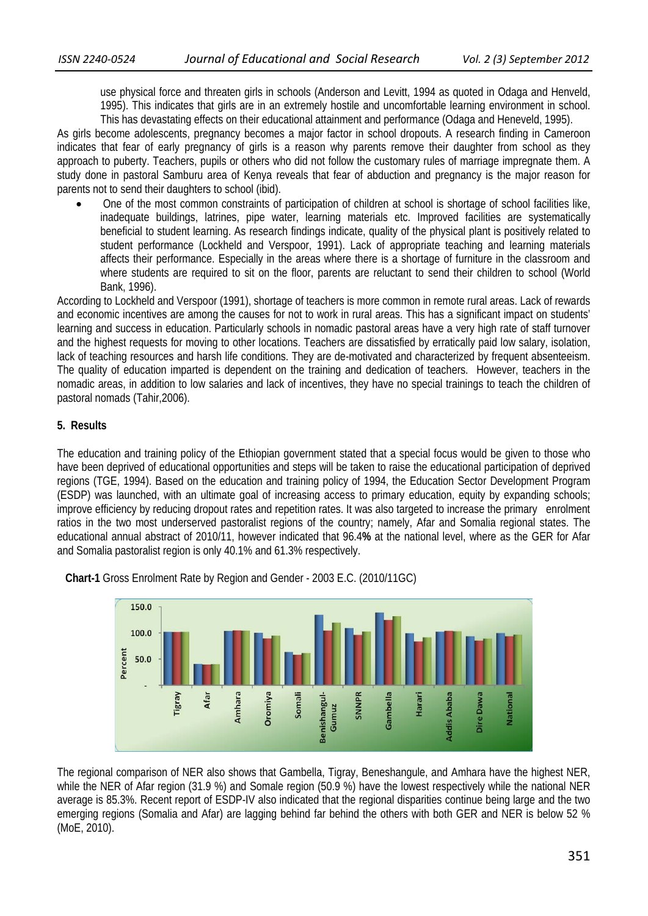use physical force and threaten girls in schools (Anderson and Levitt, 1994 as quoted in Odaga and Henveld, 1995). This indicates that girls are in an extremely hostile and uncomfortable learning environment in school. This has devastating effects on their educational attainment and performance (Odaga and Heneveld, 1995).

As girls become adolescents, pregnancy becomes a major factor in school dropouts. A research finding in Cameroon indicates that fear of early pregnancy of girls is a reason why parents remove their daughter from school as they approach to puberty. Teachers, pupils or others who did not follow the customary rules of marriage impregnate them. A study done in pastoral Samburu area of Kenya reveals that fear of abduction and pregnancy is the major reason for parents not to send their daughters to school (ibid).

 One of the most common constraints of participation of children at school is shortage of school facilities like, inadequate buildings, latrines, pipe water, learning materials etc. Improved facilities are systematically beneficial to student learning. As research findings indicate, quality of the physical plant is positively related to student performance (Lockheld and Verspoor, 1991). Lack of appropriate teaching and learning materials affects their performance. Especially in the areas where there is a shortage of furniture in the classroom and where students are required to sit on the floor, parents are reluctant to send their children to school (World Bank, 1996).

According to Lockheld and Verspoor (1991), shortage of teachers is more common in remote rural areas. Lack of rewards and economic incentives are among the causes for not to work in rural areas. This has a significant impact on students' learning and success in education. Particularly schools in nomadic pastoral areas have a very high rate of staff turnover and the highest requests for moving to other locations. Teachers are dissatisfied by erratically paid low salary, isolation, lack of teaching resources and harsh life conditions. They are de-motivated and characterized by frequent absenteeism. The quality of education imparted is dependent on the training and dedication of teachers. However, teachers in the nomadic areas, in addition to low salaries and lack of incentives, they have no special trainings to teach the children of pastoral nomads (Tahir,2006).

# **5. Results**

The education and training policy of the Ethiopian government stated that a special focus would be given to those who have been deprived of educational opportunities and steps will be taken to raise the educational participation of deprived regions (TGE, 1994). Based on the education and training policy of 1994, the Education Sector Development Program (ESDP) was launched, with an ultimate goal of increasing access to primary education, equity by expanding schools; improve efficiency by reducing dropout rates and repetition rates. It was also targeted to increase the primary enrolment ratios in the two most underserved pastoralist regions of the country; namely, Afar and Somalia regional states. The educational annual abstract of 2010/11, however indicated that 96.4**%** at the national level, where as the GER for Afar and Somalia pastoralist region is only 40.1% and 61.3% respectively.



 **Chart-1** Gross Enrolment Rate by Region and Gender - 2003 E.C. (2010/11GC)

The regional comparison of NER also shows that Gambella, Tigray, Beneshangule, and Amhara have the highest NER, while the NER of Afar region (31.9 %) and Somale region (50.9 %) have the lowest respectively while the national NER average is 85.3%. Recent report of ESDP-IV also indicated that the regional disparities continue being large and the two emerging regions (Somalia and Afar) are lagging behind far behind the others with both GER and NER is below 52 % (MoE, 2010).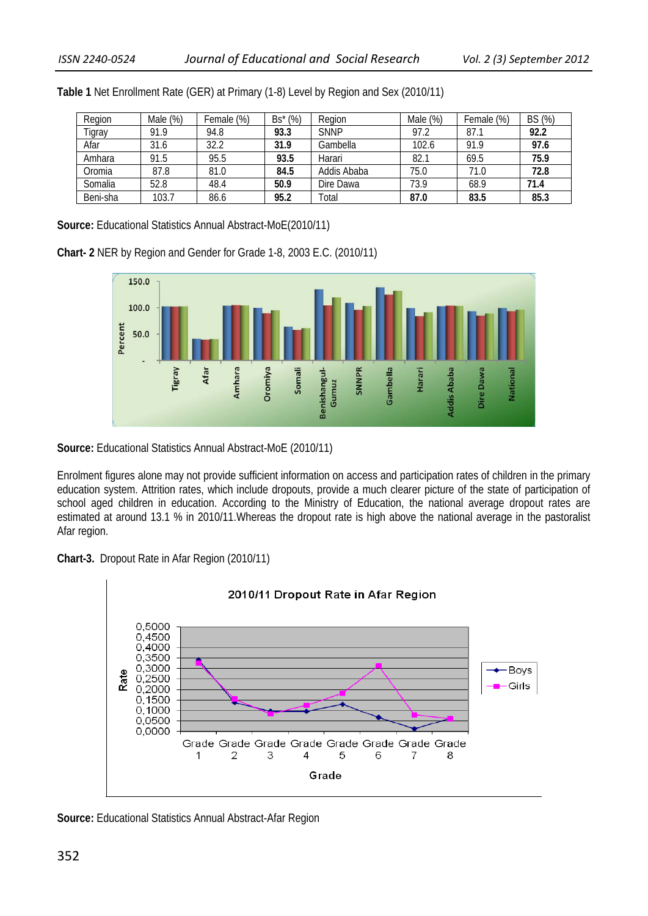| Region   | Male $(\%)$ | Female (%) | $Bs^*(\%)$ | Region      | Male (%) | Female (%) | BS (%) |
|----------|-------------|------------|------------|-------------|----------|------------|--------|
| Tigray   | 91.9        | 94.8       | 93.3       | <b>SNNP</b> | 97.2     | 87.7       | 92.2   |
| Afar     | 31.6        | 32.2       | 31.9       | Gambella    | 102.6    | 91.9       | 97.6   |
| Amhara   | 91.5        | 95.5       | 93.5       | Harari      | 82.1     | 69.5       | 75.9   |
| Oromia   | 87.8        | 81.0       | 84.5       | Addis Ababa | 75.0     | 71.0       | 72.8   |
| Somalia  | 52.8        | 48.4       | 50.9       | Dire Dawa   | 73.9     | 68.9       | 71.4   |
| Beni-sha | 103.7       | 86.6       | 95.2       | Total       | 87.0     | 83.5       | 85.3   |

**Table 1** Net Enrollment Rate (GER) at Primary (1-8) Level by Region and Sex (2010/11)

**Source:** Educational Statistics Annual Abstract-MoE(2010/11)





**Source:** Educational Statistics Annual Abstract-MoE (2010/11)

Enrolment figures alone may not provide sufficient information on access and participation rates of children in the primary education system. Attrition rates, which include dropouts, provide a much clearer picture of the state of participation of school aged children in education. According to the Ministry of Education, the national average dropout rates are estimated at around 13.1 % in 2010/11.Whereas the dropout rate is high above the national average in the pastoralist Afar region.





**Source:** Educational Statistics Annual Abstract-Afar Region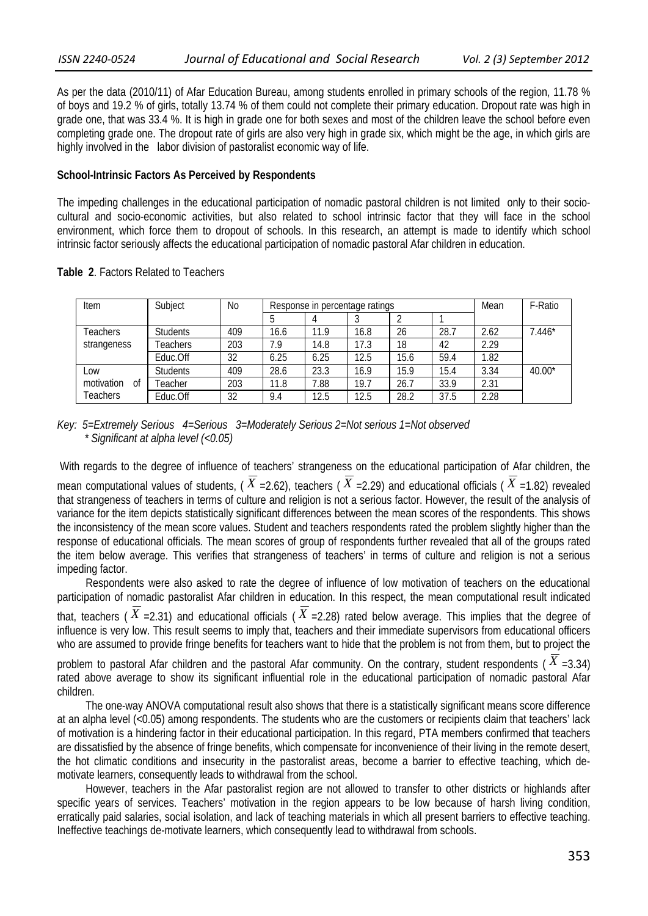As per the data (2010/11) of Afar Education Bureau, among students enrolled in primary schools of the region, 11.78 % of boys and 19.2 % of girls, totally 13.74 % of them could not complete their primary education. Dropout rate was high in grade one, that was 33.4 %. It is high in grade one for both sexes and most of the children leave the school before even completing grade one. The dropout rate of girls are also very high in grade six, which might be the age, in which girls are highly involved in the labor division of pastoralist economic way of life.

### **School-Intrinsic Factors As Perceived by Respondents**

The impeding challenges in the educational participation of nomadic pastoral children is not limited only to their sociocultural and socio-economic activities, but also related to school intrinsic factor that they will face in the school environment, which force them to dropout of schools. In this research, an attempt is made to identify which school intrinsic factor seriously affects the educational participation of nomadic pastoral Afar children in education.

|  |  |  |  |  | Table 2. Factors Related to Teachers |
|--|--|--|--|--|--------------------------------------|
|--|--|--|--|--|--------------------------------------|

| Item             | Subject         | No  | Response in percentage ratings |      |      |      |      | Mean | F-Ratio  |
|------------------|-----------------|-----|--------------------------------|------|------|------|------|------|----------|
|                  |                 |     |                                |      |      |      |      |      |          |
| Teachers         | <b>Students</b> | 409 | 16.6                           | 11.9 | 16.8 | 26   | 28.7 | 2.62 | $7.446*$ |
| strangeness      | <b>Feachers</b> | 203 | 7.9                            | 14.8 | 17.3 | 18   | 42   | 2.29 |          |
|                  | Educ.Off        | 32  | 6.25                           | 6.25 | 12.5 | 15.6 | 59.4 | 1.82 |          |
| Low              | <b>Students</b> | 409 | 28.6                           | 23.3 | 16.9 | 15.9 | 15.4 | 3.34 | $40.00*$ |
| motivation<br>0f | Teacher         | 203 | 11.8                           | 7.88 | 19.7 | 26.7 | 33.9 | 2.31 |          |
| Teachers         | Educ.Off        | 32  | 9.4                            | 12.5 | 12.5 | 28.2 | 37.5 | 2.28 |          |

### *Key: 5=Extremely Serious 4=Serious 3=Moderately Serious 2=Not serious 1=Not observed \* Significant at alpha level (<0.05)*

With regards to the degree of influence of teachers' strangeness on the educational participation of Afar children, the

mean computational values of students, ( $\overline{X}$  =2.62), teachers ( $\overline{X}$  =2.29) and educational officials ( $\overline{X}$  =1.82) revealed that strangeness of teachers in terms of culture and religion is not a serious factor. However, the result of the analysis of variance for the item depicts statistically significant differences between the mean scores of the respondents. This shows the inconsistency of the mean score values. Student and teachers respondents rated the problem slightly higher than the response of educational officials. The mean scores of group of respondents further revealed that all of the groups rated the item below average. This verifies that strangeness of teachers' in terms of culture and religion is not a serious impeding factor.

Respondents were also asked to rate the degree of influence of low motivation of teachers on the educational participation of nomadic pastoralist Afar children in education. In this respect, the mean computational result indicated

that, teachers (  $X$  =2.31) and educational officials (  $X$  =2.28) rated below average. This implies that the degree of influence is very low. This result seems to imply that, teachers and their immediate supervisors from educational officers who are assumed to provide fringe benefits for teachers want to hide that the problem is not from them, but to project the

problem to pastoral Afar children and the pastoral Afar community. On the contrary, student respondents ( $\overline{X}$  =3.34) rated above average to show its significant influential role in the educational participation of nomadic pastoral Afar children.

The one-way ANOVA computational result also shows that there is a statistically significant means score difference at an alpha level (<0.05) among respondents. The students who are the customers or recipients claim that teachers' lack of motivation is a hindering factor in their educational participation. In this regard, PTA members confirmed that teachers are dissatisfied by the absence of fringe benefits, which compensate for inconvenience of their living in the remote desert, the hot climatic conditions and insecurity in the pastoralist areas, become a barrier to effective teaching, which demotivate learners, consequently leads to withdrawal from the school.

However, teachers in the Afar pastoralist region are not allowed to transfer to other districts or highlands after specific years of services. Teachers' motivation in the region appears to be low because of harsh living condition, erratically paid salaries, social isolation, and lack of teaching materials in which all present barriers to effective teaching. Ineffective teachings de-motivate learners, which consequently lead to withdrawal from schools.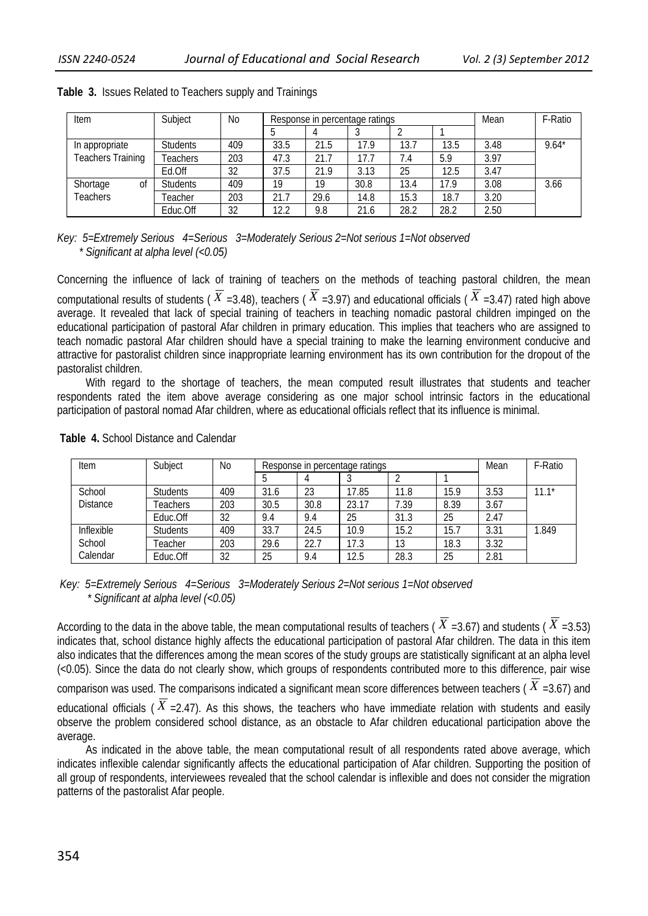| Item                     | Subject         | No  |      | Response in percentage ratings |      |      |      | Mean | F-Ratio |
|--------------------------|-----------------|-----|------|--------------------------------|------|------|------|------|---------|
|                          |                 |     |      |                                |      |      |      |      |         |
| In appropriate           | <b>Students</b> | 409 | 33.5 | 21.5                           | 17.9 | 13.7 | 13.5 | 3.48 | $9.64*$ |
| <b>Teachers Training</b> | Teachers        | 203 | 47.3 | 21.7                           | 17.7 | 7.4  | 5.9  | 3.97 |         |
|                          | Ed.Off          | 32  | 37.5 | 21.9                           | 3.13 | 25   | 12.5 | 3.47 |         |
| Shortage<br>Οf           | <b>Students</b> | 409 | 19   | 19                             | 30.8 | 13.4 | 17.9 | 3.08 | 3.66    |
| <b>Teachers</b>          | Teacher         | 203 | 21.7 | 29.6                           | 14.8 | 15.3 | 18.7 | 3.20 |         |
|                          | Educ.Off        | 32  | 12.2 | 9.8                            | 21.6 | 28.2 | 28.2 | 2.50 |         |

### **Table 3.** Issues Related to Teachers supply and Trainings

*Key: 5=Extremely Serious 4=Serious 3=Moderately Serious 2=Not serious 1=Not observed \* Significant at alpha level (<0.05)* 

Concerning the influence of lack of training of teachers on the methods of teaching pastoral children, the mean computational results of students ( $\overline{X}$  =3.48), teachers ( $\overline{X}$  =3.97) and educational officials ( $\overline{X}$  =3.47) rated high above average. It revealed that lack of special training of teachers in teaching nomadic pastoral children impinged on the educational participation of pastoral Afar children in primary education. This implies that teachers who are assigned to teach nomadic pastoral Afar children should have a special training to make the learning environment conducive and attractive for pastoralist children since inappropriate learning environment has its own contribution for the dropout of the pastoralist children.

With regard to the shortage of teachers, the mean computed result illustrates that students and teacher respondents rated the item above average considering as one major school intrinsic factors in the educational participation of pastoral nomad Afar children, where as educational officials reflect that its influence is minimal.

| Item            | Subject         | <b>No</b> |      | Response in percentage ratings |       |      |      |      | F-Ratio |
|-----------------|-----------------|-----------|------|--------------------------------|-------|------|------|------|---------|
|                 |                 |           |      |                                |       |      |      |      |         |
| School          | <b>Students</b> | 409       | 31.6 | 23                             | 17.85 | 11.8 | 15.9 | 3.53 | $11.1*$ |
| <b>Distance</b> | Teachers        | 203       | 30.5 | 30.8                           | 23.17 | 7.39 | 8.39 | 3.67 |         |
|                 | Educ.Off        | 32        | 9.4  | 9.4                            | 25    | 31.3 | 25   | 2.47 |         |
| Inflexible      | <b>Students</b> | 409       | 33.7 | 24.5                           | 10.9  | 15.2 | 15.7 | 3.31 | 1.849   |
| School          | Teacher         | 203       | 29.6 | 22.7                           | 17.3  | 13   | 18.3 | 3.32 |         |
| Calendar        | Educ.Off        | 32        | 25   | 9.4                            | 12.5  | 28.3 | 25   | 2.81 |         |

**Table 4.** School Distance and Calendar

### *Key: 5=Extremely Serious 4=Serious 3=Moderately Serious 2=Not serious 1=Not observed \* Significant at alpha level (<0.05)*

According to the data in the above table, the mean computational results of teachers ( $\overline{X}$  =3.67) and students ( $\overline{X}$  =3.53) indicates that, school distance highly affects the educational participation of pastoral Afar children. The data in this item also indicates that the differences among the mean scores of the study groups are statistically significant at an alpha level (<0.05). Since the data do not clearly show, which groups of respondents contributed more to this difference, pair wise

comparison was used. The comparisons indicated a significant mean score differences between teachers ( *X* =3.67) and educational officials ( $\overline{X}$  =2.47). As this shows, the teachers who have immediate relation with students and easily

observe the problem considered school distance, as an obstacle to Afar children educational participation above the average.

As indicated in the above table, the mean computational result of all respondents rated above average, which indicates inflexible calendar significantly affects the educational participation of Afar children. Supporting the position of all group of respondents, interviewees revealed that the school calendar is inflexible and does not consider the migration patterns of the pastoralist Afar people.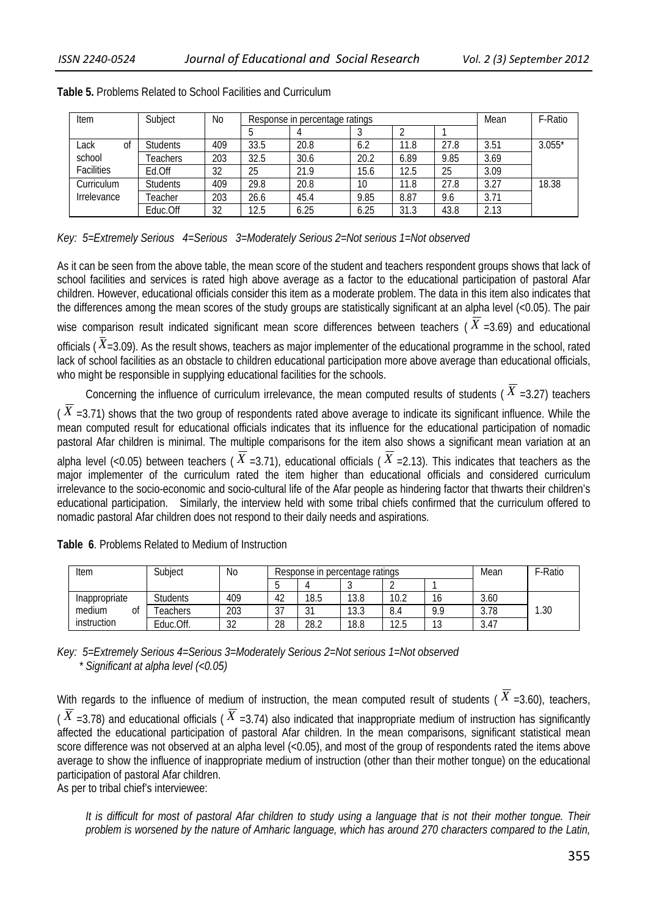| Item        | Subject         | No  |      | Response in percentage ratings |      |      |      |      | F-Ratio  |
|-------------|-----------------|-----|------|--------------------------------|------|------|------|------|----------|
|             |                 |     |      |                                |      |      |      |      |          |
| Lack<br>0t  | <b>Students</b> | 409 | 33.5 | 20.8                           | 6.2  | 11.8 | 27.8 | 3.51 | $3.055*$ |
| school      | Teachers        | 203 | 32.5 | 30.6                           | 20.2 | 6.89 | 9.85 | 3.69 |          |
| Facilities  | Ed.Off          | 32  | 25   | 21.9                           | 15.6 | 12.5 | 25   | 3.09 |          |
| Curriculum  | <b>Students</b> | 409 | 29.8 | 20.8                           | 10   | 11.8 | 27.8 | 3.27 | 18.38    |
| Irrelevance | Teacher         | 203 | 26.6 | 45.4                           | 9.85 | 8.87 | 9.6  | 3.71 |          |
|             | Educ.Off        | 32  | 12.5 | 6.25                           | 6.25 | 31.3 | 43.8 | 2.13 |          |

### **Table 5.** Problems Related to School Facilities and Curriculum

*Key: 5=Extremely Serious 4=Serious 3=Moderately Serious 2=Not serious 1=Not observed* 

As it can be seen from the above table, the mean score of the student and teachers respondent groups shows that lack of school facilities and services is rated high above average as a factor to the educational participation of pastoral Afar children. However, educational officials consider this item as a moderate problem. The data in this item also indicates that the differences among the mean scores of the study groups are statistically significant at an alpha level (<0.05). The pair

wise comparison result indicated significant mean score differences between teachers ( $\overline{X}$  =3.69) and educational officials ( $\bar{X}$ =3.09). As the result shows, teachers as major implementer of the educational programme in the school, rated lack of school facilities as an obstacle to children educational participation more above average than educational officials, who might be responsible in supplying educational facilities for the schools.

Concerning the influence of curriculum irrelevance, the mean computed results of students ( $\overline{X}$  =3.27) teachers

( $\overline{X}$  =3.71) shows that the two group of respondents rated above average to indicate its significant influence. While the mean computed result for educational officials indicates that its influence for the educational participation of nomadic pastoral Afar children is minimal. The multiple comparisons for the item also shows a significant mean variation at an alpha level (<0.05) between teachers ( $\overline{X}$  =3.71), educational officials ( $\overline{X}$  =2.13). This indicates that teachers as the major implementer of the curriculum rated the item higher than educational officials and considered curriculum irrelevance to the socio-economic and socio-cultural life of the Afar people as hindering factor that thwarts their children's educational participation. Similarly, the interview held with some tribal chiefs confirmed that the curriculum offered to nomadic pastoral Afar children does not respond to their daily needs and aspirations.

| Item          | Subject         | No        |                      | Response in percentage ratings |      |      |          | Mean | F-Ratio |
|---------------|-----------------|-----------|----------------------|--------------------------------|------|------|----------|------|---------|
|               |                 |           |                      |                                |      |      |          |      |         |
| Inappropriate | <b>Students</b> | 409       | ְמו<br>4z            | 18.5                           | 13.8 | 10.2 | 10       | 3.60 |         |
| medium<br>Ωt  | eachers         | 203       | $\sim$ $\rightarrow$ | $\sim$                         | 13.3 | 8.4  | 9.9      | 3.78 | .30     |
| instruction   | Educ.Off.       | ົາງ<br>JZ | 28                   | 28.2                           | 18.8 | 12.5 | 10<br>د. | 3.47 |         |

**Table 6**. Problems Related to Medium of Instruction

*Key: 5=Extremely Serious 4=Serious 3=Moderately Serious 2=Not serious 1=Not observed \* Significant at alpha level (<0.05)* 

With regards to the influence of medium of instruction, the mean computed result of students ( $\overline{X}$  =3.60), teachers, ( $\overline{X}$  =3.78) and educational officials ( $\overline{X}$  =3.74) also indicated that inappropriate medium of instruction has significantly affected the educational participation of pastoral Afar children. In the mean comparisons, significant statistical mean score difference was not observed at an alpha level (<0.05), and most of the group of respondents rated the items above average to show the influence of inappropriate medium of instruction (other than their mother tongue) on the educational participation of pastoral Afar children.

As per to tribal chief's interviewee:

*It is difficult for most of pastoral Afar children to study using a language that is not their mother tongue. Their problem is worsened by the nature of Amharic language, which has around 270 characters compared to the Latin,*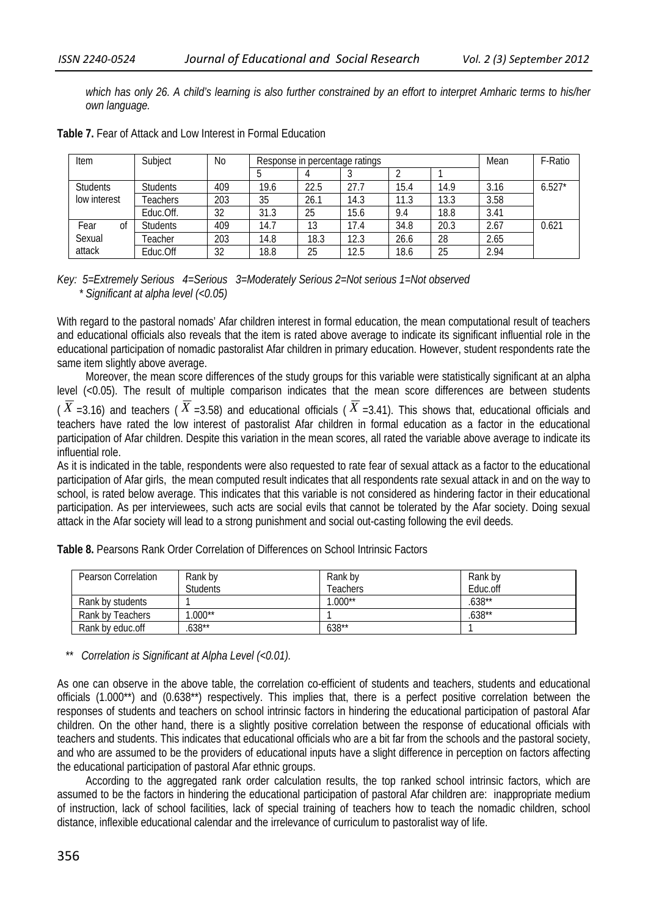*which has only 26. A child's learning is also further constrained by an effort to interpret Amharic terms to his/her own language.* 

| Item            | Subject         | <b>No</b> |      | Response in percentage ratings |      |      |      |      | F-Ratio  |
|-----------------|-----------------|-----------|------|--------------------------------|------|------|------|------|----------|
|                 |                 |           |      |                                |      |      |      |      |          |
| <b>Students</b> | <b>Students</b> | 409       | 19.6 | 22.5                           | 27.7 | 15.4 | 14.9 | 3.16 | $6.527*$ |
| low interest    | <b>Feachers</b> | 203       | 35   | 26.1                           | 14.3 | 11.3 | 13.3 | 3.58 |          |
|                 | Educ.Off.       | 32        | 31.3 | 25                             | 15.6 | 9.4  | 18.8 | 3.41 |          |
| Fear<br>Οf      | <b>Students</b> | 409       | 14.7 | 13                             | 17.4 | 34.8 | 20.3 | 2.67 | 0.621    |
| Sexual          | Teacher         | 203       | 14.8 | 18.3                           | 12.3 | 26.6 | 28   | 2.65 |          |
| attack          | Educ.Off        | 32        | 18.8 | 25                             | 12.5 | 18.6 | 25   | 2.94 |          |

**Table 7.** Fear of Attack and Low Interest in Formal Education

*Key: 5=Extremely Serious 4=Serious 3=Moderately Serious 2=Not serious 1=Not observed \* Significant at alpha level (<0.05)* 

With regard to the pastoral nomads' Afar children interest in formal education, the mean computational result of teachers and educational officials also reveals that the item is rated above average to indicate its significant influential role in the educational participation of nomadic pastoralist Afar children in primary education. However, student respondents rate the same item slightly above average.

Moreover, the mean score differences of the study groups for this variable were statistically significant at an alpha level (<0.05). The result of multiple comparison indicates that the mean score differences are between students

( $\overline{X}$  =3.16) and teachers ( $\overline{X}$  =3.58) and educational officials ( $\overline{X}$  =3.41). This shows that, educational officials and teachers have rated the low interest of pastoralist Afar children in formal education as a factor in the educational participation of Afar children. Despite this variation in the mean scores, all rated the variable above average to indicate its influential role.

As it is indicated in the table, respondents were also requested to rate fear of sexual attack as a factor to the educational participation of Afar girls, the mean computed result indicates that all respondents rate sexual attack in and on the way to school, is rated below average. This indicates that this variable is not considered as hindering factor in their educational participation. As per interviewees, such acts are social evils that cannot be tolerated by the Afar society. Doing sexual attack in the Afar society will lead to a strong punishment and social out-casting following the evil deeds.

| Pearson Correlation | Rank by<br><b>Students</b> | Rank by<br>Teachers | Rank by<br>Educ.off |
|---------------------|----------------------------|---------------------|---------------------|
| Rank by students    |                            | $.000**$            | $.638***$           |
| Rank by Teachers    | $.000**$                   |                     | $.638***$           |
| Rank by educ.off    | $638**$                    | 638**               |                     |

**Table 8.** Pearsons Rank Order Correlation of Differences on School Intrinsic Factors

*\*\* Correlation is Significant at Alpha Level (<0.01).* 

As one can observe in the above table, the correlation co-efficient of students and teachers, students and educational officials (1.000\*\*) and (0.638\*\*) respectively. This implies that, there is a perfect positive correlation between the responses of students and teachers on school intrinsic factors in hindering the educational participation of pastoral Afar children. On the other hand, there is a slightly positive correlation between the response of educational officials with teachers and students. This indicates that educational officials who are a bit far from the schools and the pastoral society, and who are assumed to be the providers of educational inputs have a slight difference in perception on factors affecting the educational participation of pastoral Afar ethnic groups.

According to the aggregated rank order calculation results, the top ranked school intrinsic factors, which are assumed to be the factors in hindering the educational participation of pastoral Afar children are: inappropriate medium of instruction, lack of school facilities, lack of special training of teachers how to teach the nomadic children, school distance, inflexible educational calendar and the irrelevance of curriculum to pastoralist way of life.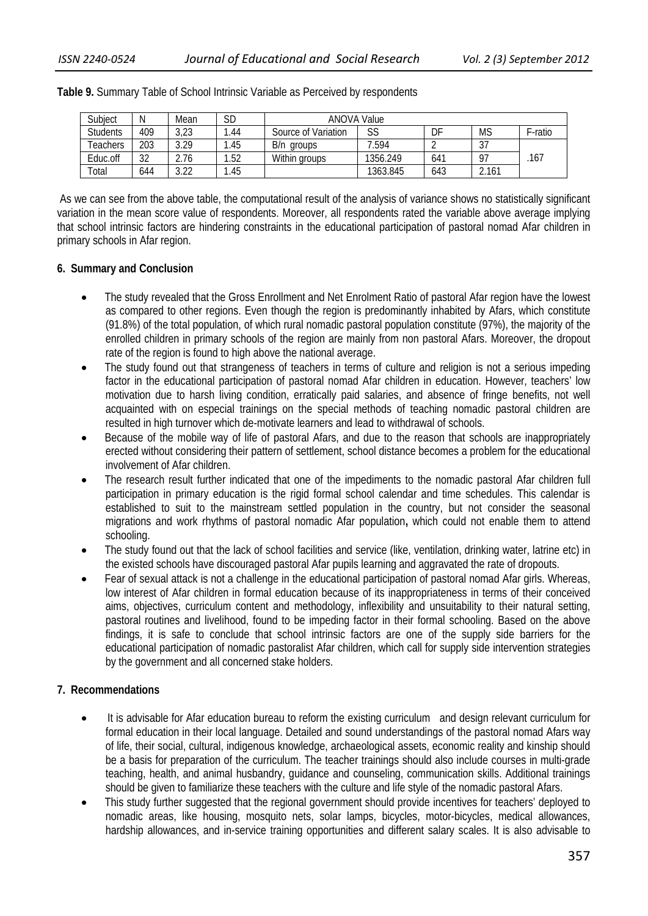| Subject         | Ν   | Mean | SD  | ANOVA Value         |          |                 |           |         |
|-----------------|-----|------|-----|---------------------|----------|-----------------|-----------|---------|
| <b>Students</b> | 409 | 3,23 | .44 | Source of Variation | SS       | DF              | ΜS        | F-ratio |
| Feachers        | 203 | 3.29 | .45 | B/n<br>aroups       | '.594    |                 | 27<br>، ں |         |
| Educ.off        | 32  | 2.76 | .52 | Within groups       | 1356.249 | 64 <sup>1</sup> | 97        | .167    |
| Total           | 644 | ว วว | .45 |                     | 1363.845 | 643             | 2.161     |         |

#### **Table 9.** Summary Table of School Intrinsic Variable as Perceived by respondents

 As we can see from the above table, the computational result of the analysis of variance shows no statistically significant variation in the mean score value of respondents. Moreover, all respondents rated the variable above average implying that school intrinsic factors are hindering constraints in the educational participation of pastoral nomad Afar children in primary schools in Afar region.

### **6. Summary and Conclusion**

- The study revealed that the Gross Enrollment and Net Enrolment Ratio of pastoral Afar region have the lowest as compared to other regions. Even though the region is predominantly inhabited by Afars, which constitute (91.8%) of the total population, of which rural nomadic pastoral population constitute (97%), the majority of the enrolled children in primary schools of the region are mainly from non pastoral Afars. Moreover, the dropout rate of the region is found to high above the national average.
- The study found out that strangeness of teachers in terms of culture and religion is not a serious impeding factor in the educational participation of pastoral nomad Afar children in education. However, teachers' low motivation due to harsh living condition, erratically paid salaries, and absence of fringe benefits, not well acquainted with on especial trainings on the special methods of teaching nomadic pastoral children are resulted in high turnover which de-motivate learners and lead to withdrawal of schools.
- Because of the mobile way of life of pastoral Afars, and due to the reason that schools are inappropriately erected without considering their pattern of settlement, school distance becomes a problem for the educational involvement of Afar children.
- The research result further indicated that one of the impediments to the nomadic pastoral Afar children full participation in primary education is the rigid formal school calendar and time schedules. This calendar is established to suit to the mainstream settled population in the country, but not consider the seasonal migrations and work rhythms of pastoral nomadic Afar population**,** which could not enable them to attend schooling.
- The study found out that the lack of school facilities and service (like, ventilation, drinking water, latrine etc) in the existed schools have discouraged pastoral Afar pupils learning and aggravated the rate of dropouts.
- Fear of sexual attack is not a challenge in the educational participation of pastoral nomad Afar girls. Whereas, low interest of Afar children in formal education because of its inappropriateness in terms of their conceived aims, objectives, curriculum content and methodology, inflexibility and unsuitability to their natural setting, pastoral routines and livelihood, found to be impeding factor in their formal schooling. Based on the above findings, it is safe to conclude that school intrinsic factors are one of the supply side barriers for the educational participation of nomadic pastoralist Afar children, which call for supply side intervention strategies by the government and all concerned stake holders.

### **7. Recommendations**

- It is advisable for Afar education bureau to reform the existing curriculum and design relevant curriculum for formal education in their local language. Detailed and sound understandings of the pastoral nomad Afars way of life, their social, cultural, indigenous knowledge, archaeological assets, economic reality and kinship should be a basis for preparation of the curriculum. The teacher trainings should also include courses in multi-grade teaching, health, and animal husbandry, guidance and counseling, communication skills. Additional trainings should be given to familiarize these teachers with the culture and life style of the nomadic pastoral Afars.
- This study further suggested that the regional government should provide incentives for teachers' deployed to nomadic areas, like housing, mosquito nets, solar lamps, bicycles, motor-bicycles, medical allowances, hardship allowances, and in-service training opportunities and different salary scales. It is also advisable to